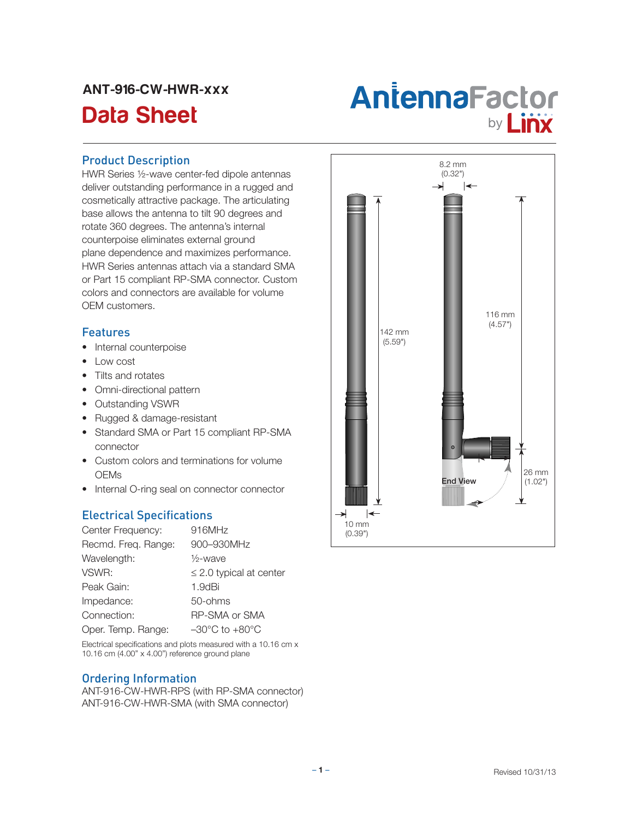## ANT-916-CW-HWR-xxx

# Antenna Factor<br>Data Sheet **Antenna Factor**

#### Product Description

HWR Series ½-wave center-fed dipole antennas deliver outstanding performance in a rugged and cosmetically attractive package. The articulating base allows the antenna to tilt 90 degrees and rotate 360 degrees. The antenna's internal counterpoise eliminates external ground plane dependence and maximizes performance. HWR Series antennas attach via a standard SMA or Part 15 compliant RP-SMA connector. Custom colors and connectors are available for volume OEM customers.

### **Features**

- Internal counterpoise
- • Low cost
- Tilts and rotates
- Omni-directional pattern
- • Outstanding VSWR
- • Rugged & damage-resistant
- Standard SMA or Part 15 compliant RP-SMA connector
- Custom colors and terminations for volume OEMs
- Internal O-ring seal on connector connector

### Electrical Specifications

| Center Frequency:   | 916MHz                             |
|---------------------|------------------------------------|
| Recmd. Freq. Range: | 900-930MHz                         |
| Wavelength:         | $\frac{1}{2}$ -wave                |
| VSWR:               | $\leq$ 2.0 typical at center       |
| Peak Gain:          | 1.9dBi                             |
| Impedance:          | 50-ohms                            |
| Connection:         | <b>RP-SMA or SMA</b>               |
| Oper. Temp. Range:  | $-30^{\circ}$ C to $+80^{\circ}$ C |
|                     |                                    |

Electrical specifications and plots measured with a 10.16 cm x 10.16 cm (4.00" x 4.00") reference ground plane

#### Ordering Information

ANT-916-CW-HWR-RPS (with RP-SMA connector) ANT-916-CW-HWR-SMA (with SMA connector)